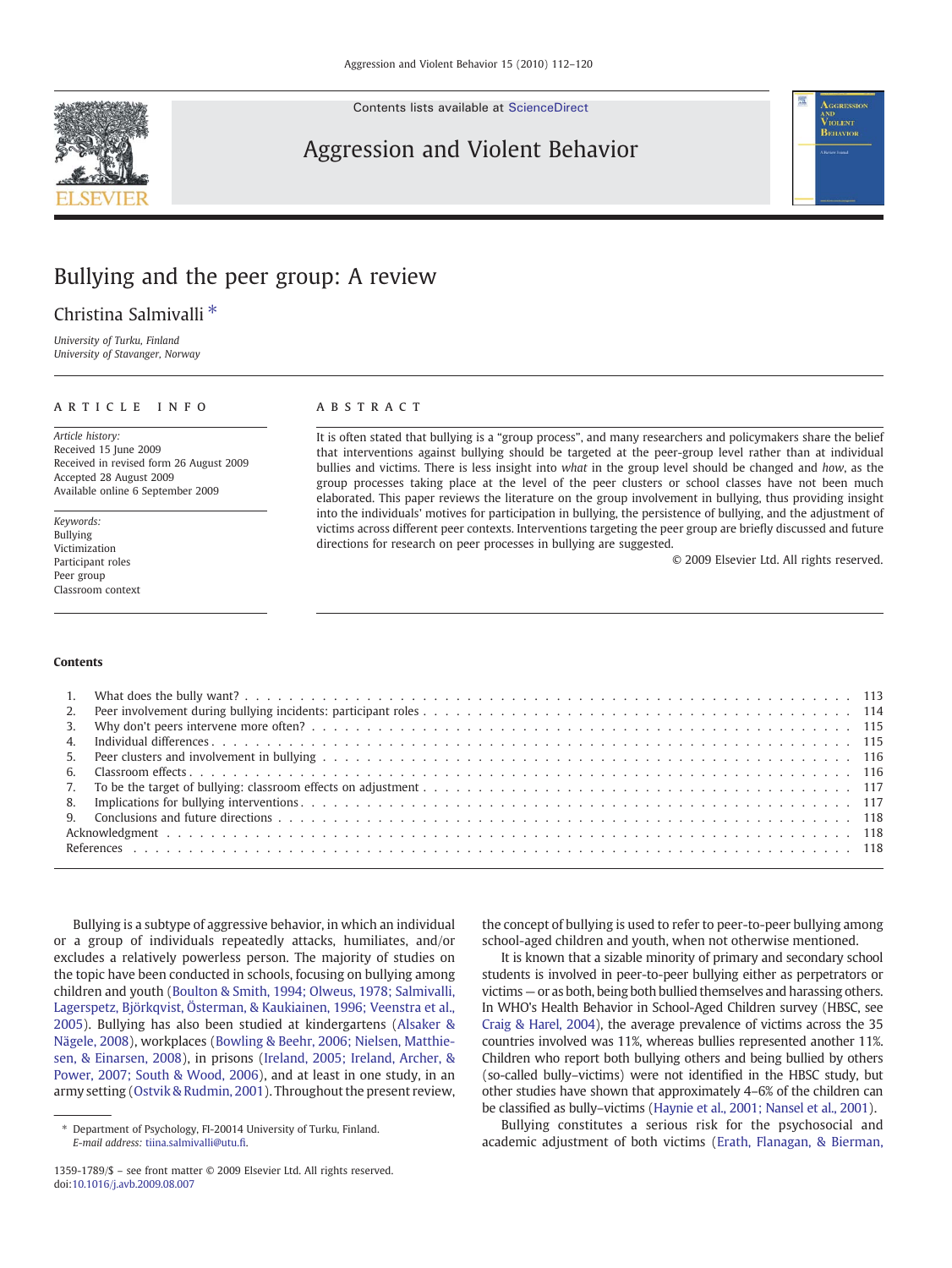Contents lists available at [ScienceDirect](http://www.sciencedirect.com/science/journal/13591789)

# Aggression and Violent Behavior



## <span id="page-0-0"></span>Bullying and the peer group: A review

## Christina Salmivalli<sup>\*</sup>

University of Turku, Finland University of Stavanger, Norway

#### article info abstract

Article history: Received 15 June 2009 Received in revised form 26 August 2009 Accepted 28 August 2009 Available online 6 September 2009

Keywords: Bullying Victimization Participant roles Peer group Classroom context

Contents

It is often stated that bullying is a "group process", and many researchers and policymakers share the belief that interventions against bullying should be targeted at the peer-group level rather than at individual bullies and victims. There is less insight into what in the group level should be changed and how, as the group processes taking place at the level of the peer clusters or school classes have not been much elaborated. This paper reviews the literature on the group involvement in bullying, thus providing insight into the individuals' motives for participation in bullying, the persistence of bullying, and the adjustment of victims across different peer contexts. Interventions targeting the peer group are briefly discussed and future directions for research on peer processes in bullying are suggested.

© 2009 Elsevier Ltd. All rights reserved.

Bullying is a subtype of aggressive behavior, in which an individual or a group of individuals repeatedly attacks, humiliates, and/or excludes a relatively powerless person. The majority of studies on the topic have been conducted in schools, focusing on bullying among children and youth ([Boulton & Smith, 1994; Olweus, 1978; Salmivalli,](#page-6-0) [Lagerspetz, Björkqvist, Österman, & Kaukiainen, 1996; Veenstra et al.,](#page-6-0) [2005\)](#page-6-0). Bullying has also been studied at kindergartens ([Alsaker &](#page-6-0) [Nägele, 2008\)](#page-6-0), workplaces ([Bowling & Beehr, 2006; Nielsen, Matthie](#page-6-0)[sen, & Einarsen, 2008\)](#page-6-0), in prisons [\(Ireland, 2005; Ireland, Archer, &](#page-7-0) [Power, 2007; South & Wood, 2006\)](#page-7-0), and at least in one study, in an army setting ([Ostvik & Rudmin, 2001](#page-7-0)). Throughout the present review,

the concept of bullying is used to refer to peer-to-peer bullying among school-aged children and youth, when not otherwise mentioned.

It is known that a sizable minority of primary and secondary school students is involved in peer-to-peer bullying either as perpetrators or victims — or as both, being both bullied themselves and harassing others. In WHO's Health Behavior in School-Aged Children survey (HBSC, see [Craig & Harel, 2004](#page-6-0)), the average prevalence of victims across the 35 countries involved was 11%, whereas bullies represented another 11%. Children who report both bullying others and being bullied by others (so-called bully–victims) were not identified in the HBSC study, but other studies have shown that approximately 4–6% of the children can be classified as bully–victims [\(Haynie et al., 2001; Nansel et al., 2001\)](#page-7-0).

Bullying constitutes a serious risk for the psychosocial and academic adjustment of both victims ([Erath, Flanagan, & Bierman,](#page-7-0)

<sup>⁎</sup> Department of Psychology, FI-20014 University of Turku, Finland. E-mail address: [tiina.salmivalli@utu.](mailto:tiina.salmivalli@utu.fi)fi.

<sup>1359-1789/\$</sup> – see front matter © 2009 Elsevier Ltd. All rights reserved. doi[:10.1016/j.avb.2009.08.007](http://dx.doi.org/10.1016/j.avb.2009.08.007)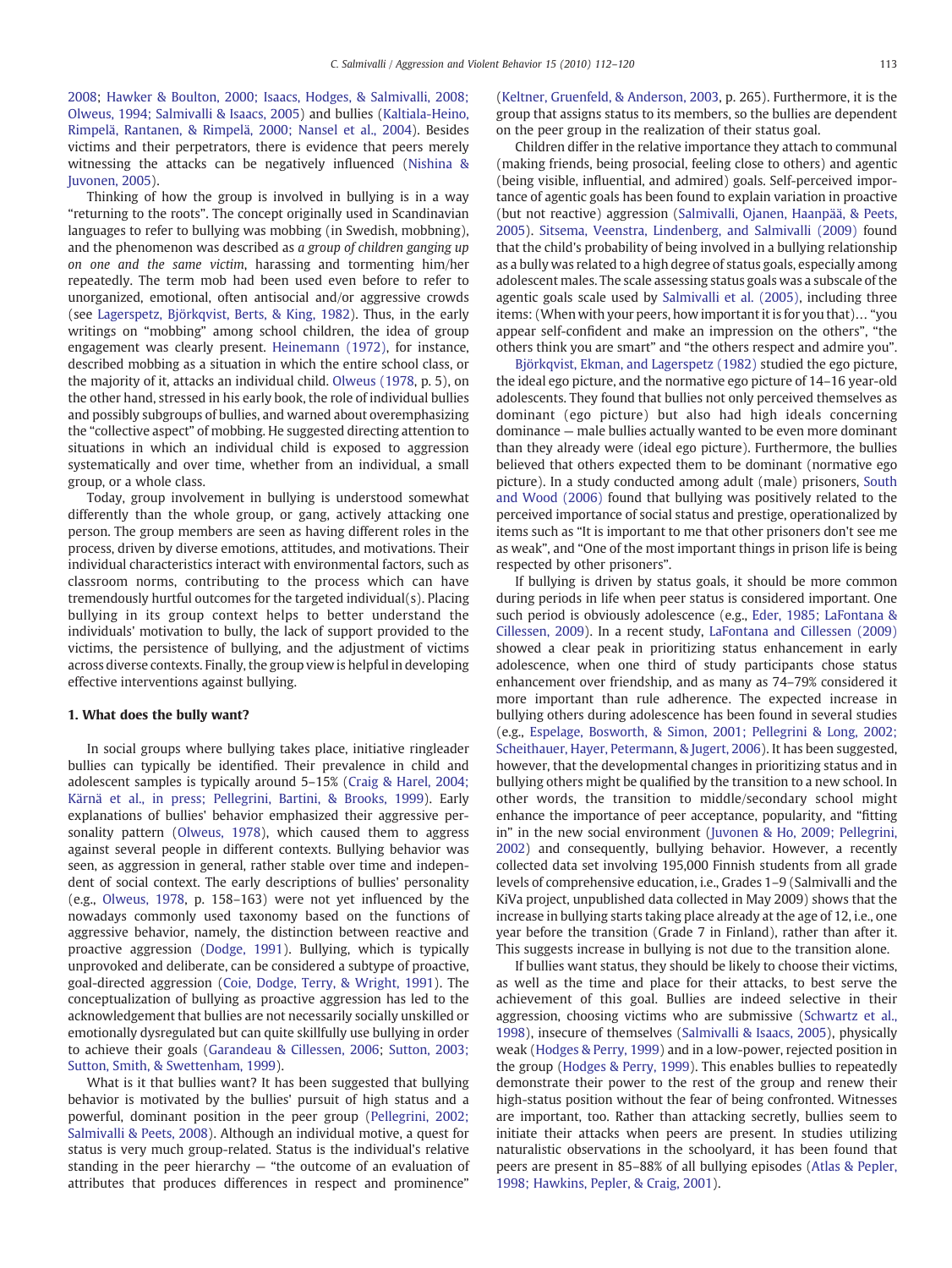[2008;](#page-7-0) [Hawker & Boulton, 2000; Isaacs, Hodges, & Salmivalli, 2008;](#page-7-0) [Olweus, 1994; Salmivalli & Isaacs, 2005](#page-7-0)) and bullies ([Kaltiala-Heino,](#page-7-0) [Rimpelä, Rantanen, & Rimpelä, 2000; Nansel et al., 2004\)](#page-7-0). Besides victims and their perpetrators, there is evidence that peers merely witnessing the attacks can be negatively influenced [\(Nishina &](#page-7-0) [Juvonen, 2005\)](#page-7-0).

Thinking of how the group is involved in bullying is in a way "returning to the roots". The concept originally used in Scandinavian languages to refer to bullying was mobbing (in Swedish, mobbning), and the phenomenon was described as a group of children ganging up on one and the same victim, harassing and tormenting him/her repeatedly. The term mob had been used even before to refer to unorganized, emotional, often antisocial and/or aggressive crowds (see [Lagerspetz, Björkqvist, Berts, & King, 1982](#page-7-0)). Thus, in the early writings on "mobbing" among school children, the idea of group engagement was clearly present. [Heinemann \(1972\),](#page-7-0) for instance, described mobbing as a situation in which the entire school class, or the majority of it, attacks an individual child. [Olweus \(1978](#page-7-0), p. 5), on the other hand, stressed in his early book, the role of individual bullies and possibly subgroups of bullies, and warned about overemphasizing the "collective aspect" of mobbing. He suggested directing attention to situations in which an individual child is exposed to aggression systematically and over time, whether from an individual, a small group, or a whole class.

Today, group involvement in bullying is understood somewhat differently than the whole group, or gang, actively attacking one person. The group members are seen as having different roles in the process, driven by diverse emotions, attitudes, and motivations. Their individual characteristics interact with environmental factors, such as classroom norms, contributing to the process which can have tremendously hurtful outcomes for the targeted individual(s). Placing bullying in its group context helps to better understand the individuals' motivation to bully, the lack of support provided to the victims, the persistence of bullying, and the adjustment of victims across diverse contexts. Finally, the group view is helpful in developing effective interventions against bullying.

#### 1. What does the bully want?

In social groups where bullying takes place, initiative ringleader bullies can typically be identified. Their prevalence in child and adolescent samples is typically around 5–15% [\(Craig & Harel, 2004;](#page-7-0) [Kärnä et al., in press; Pellegrini, Bartini, & Brooks, 1999](#page-7-0)). Early explanations of bullies' behavior emphasized their aggressive personality pattern [\(Olweus, 1978](#page-7-0)), which caused them to aggress against several people in different contexts. Bullying behavior was seen, as aggression in general, rather stable over time and independent of social context. The early descriptions of bullies' personality (e.g., [Olweus, 1978](#page-7-0), p. 158–163) were not yet influenced by the nowadays commonly used taxonomy based on the functions of aggressive behavior, namely, the distinction between reactive and proactive aggression ([Dodge, 1991](#page-7-0)). Bullying, which is typically unprovoked and deliberate, can be considered a subtype of proactive, goal-directed aggression ([Coie, Dodge, Terry, & Wright, 1991\)](#page-6-0). The conceptualization of bullying as proactive aggression has led to the acknowledgement that bullies are not necessarily socially unskilled or emotionally dysregulated but can quite skillfully use bullying in order to achieve their goals (Garandeau [& Cillessen, 2006](#page-7-0); [Sutton, 2003;](#page-8-0) [Sutton, Smith, & Swettenham, 1999\)](#page-8-0).

What is it that bullies want? It has been suggested that bullying behavior is motivated by the bullies' pursuit of high status and a powerful, dominant position in the peer group [\(Pellegrini, 2002;](#page-7-0) [Salmivalli & Peets, 2008](#page-7-0)). Although an individual motive, a quest for status is very much group-related. Status is the individual's relative standing in the peer hierarchy — "the outcome of an evaluation of attributes that produces differences in respect and prominence"

[\(Keltner, Gruenfeld, & Anderson, 2003,](#page-7-0) p. 265). Furthermore, it is the group that assigns status to its members, so the bullies are dependent on the peer group in the realization of their status goal.

Children differ in the relative importance they attach to communal (making friends, being prosocial, feeling close to others) and agentic (being visible, influential, and admired) goals. Self-perceived importance of agentic goals has been found to explain variation in proactive (but not reactive) aggression ([Salmivalli, Ojanen, Haanpää, & Peets,](#page-8-0) [2005\)](#page-8-0). [Sitsema, Veenstra, Lindenberg, and Salmivalli \(2009\)](#page-8-0) found that the child's probability of being involved in a bullying relationship as a bully was related to a high degree of status goals, especially among adolescent males. The scale assessing status goals was a subscale of the agentic goals scale used by [Salmivalli et al. \(2005\)](#page-8-0), including three items: (When with your peers, how important it is for you that)… "you appear self-confident and make an impression on the others", "the others think you are smart" and "the others respect and admire you".

[Björkqvist, Ekman, and Lagerspetz \(1982\)](#page-6-0) studied the ego picture, the ideal ego picture, and the normative ego picture of 14–16 year-old adolescents. They found that bullies not only perceived themselves as dominant (ego picture) but also had high ideals concerning dominance — male bullies actually wanted to be even more dominant than they already were (ideal ego picture). Furthermore, the bullies believed that others expected them to be dominant (normative ego picture). In a study conducted among adult (male) prisoners, [South](#page-8-0) [and Wood \(2006\)](#page-8-0) found that bullying was positively related to the perceived importance of social status and prestige, operationalized by items such as "It is important to me that other prisoners don't see me as weak", and "One of the most important things in prison life is being respected by other prisoners".

If bullying is driven by status goals, it should be more common during periods in life when peer status is considered important. One such period is obviously adolescence (e.g., [Eder, 1985; LaFontana &](#page-7-0) [Cillessen, 2009\)](#page-7-0). In a recent study, [LaFontana and Cillessen \(2009\)](#page-7-0) showed a clear peak in prioritizing status enhancement in early adolescence, when one third of study participants chose status enhancement over friendship, and as many as 74–79% considered it more important than rule adherence. The expected increase in bullying others during adolescence has been found in several studies (e.g., [Espelage, Bosworth, & Simon, 2001; Pellegrini & Long, 2002;](#page-7-0) [Scheithauer, Hayer, Petermann, & Jugert, 2006](#page-7-0)). It has been suggested, however, that the developmental changes in prioritizing status and in bullying others might be qualified by the transition to a new school. In other words, the transition to middle/secondary school might enhance the importance of peer acceptance, popularity, and "fitting in" in the new social environment [\(Juvonen & Ho, 2009; Pellegrini,](#page-0-0) [2002\)](#page-0-0) and consequently, bullying behavior. However, a recently collected data set involving 195,000 Finnish students from all grade levels of comprehensive education, i.e., Grades 1–9 (Salmivalli and the KiVa project, unpublished data collected in May 2009) shows that the increase in bullying starts taking place already at the age of 12, i.e., one year before the transition (Grade 7 in Finland), rather than after it. This suggests increase in bullying is not due to the transition alone.

If bullies want status, they should be likely to choose their victims, as well as the time and place for their attacks, to best serve the achievement of this goal. Bullies are indeed selective in their aggression, choosing victims who are submissive [\(Schwartz et al.,](#page-8-0) [1998\)](#page-8-0), insecure of themselves ([Salmivalli & Isaacs, 2005](#page-8-0)), physically weak [\(Hodges & Perry, 1999\)](#page-7-0) and in a low-power, rejected position in the group [\(Hodges & Perry, 1999\)](#page-7-0). This enables bullies to repeatedly demonstrate their power to the rest of the group and renew their high-status position without the fear of being confronted. Witnesses are important, too. Rather than attacking secretly, bullies seem to initiate their attacks when peers are present. In studies utilizing naturalistic observations in the schoolyard, it has been found that peers are present in 85–88% of all bullying episodes ([Atlas & Pepler,](#page-6-0) [1998; Hawkins, Pepler, & Craig, 2001\)](#page-6-0).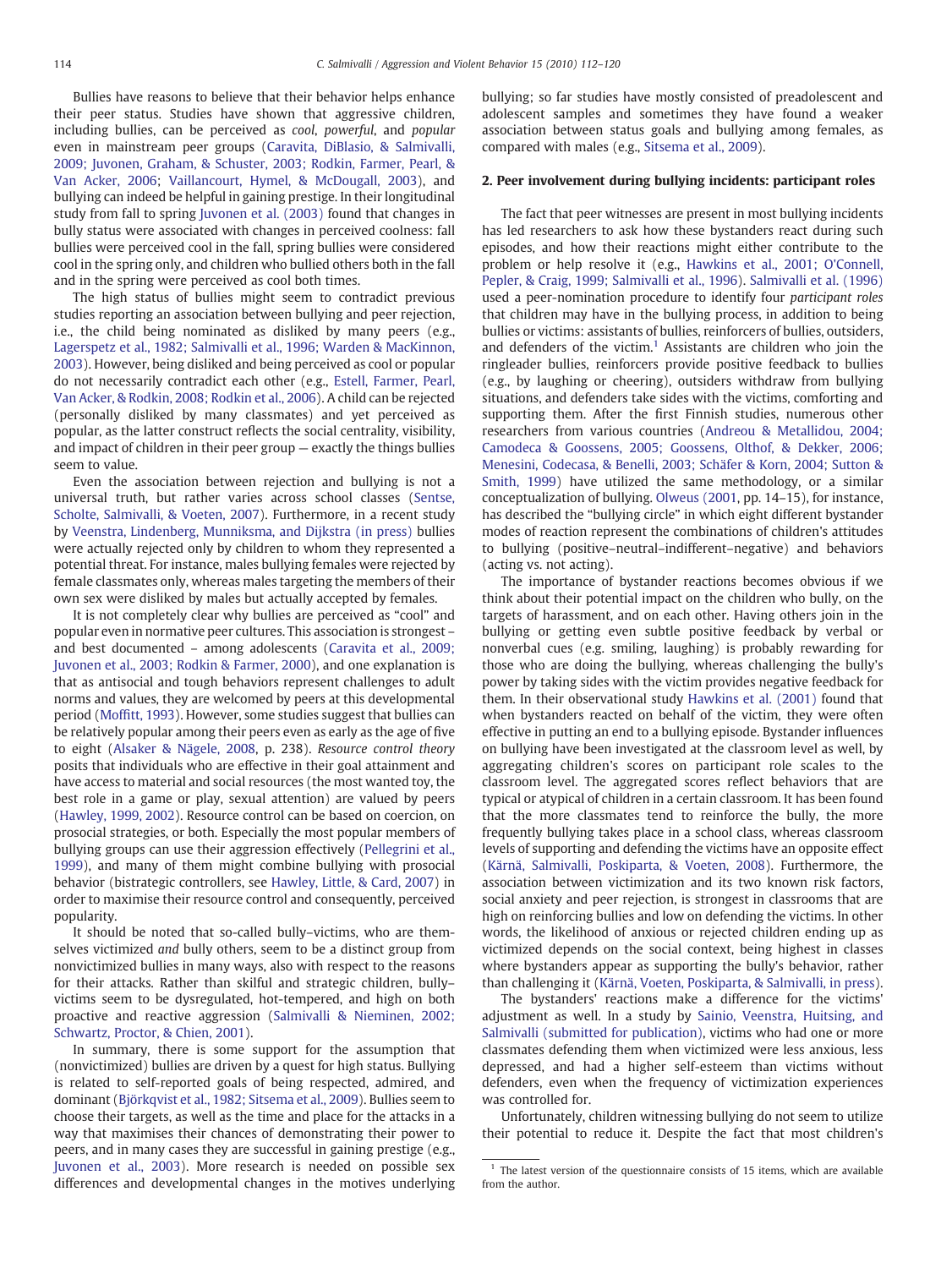Bullies have reasons to believe that their behavior helps enhance their peer status. Studies have shown that aggressive children, including bullies, can be perceived as cool, powerful, and popular even in mainstream peer groups [\(Caravita, DiBlasio, & Salmivalli,](#page-6-0) [2009; Juvonen, Graham, & Schuster, 2003; Rodkin, Farmer, Pearl, &](#page-6-0) [Van Acker, 2006](#page-6-0); [Vaillancourt, Hymel, & McDougall, 2003](#page-8-0)), and bullying can indeed be helpful in gaining prestige. In their longitudinal study from fall to spring [Juvonen et al. \(2003\)](#page-7-0) found that changes in bully status were associated with changes in perceived coolness: fall bullies were perceived cool in the fall, spring bullies were considered cool in the spring only, and children who bullied others both in the fall and in the spring were perceived as cool both times.

The high status of bullies might seem to contradict previous studies reporting an association between bullying and peer rejection, i.e., the child being nominated as disliked by many peers (e.g., [Lagerspetz et al., 1982; Salmivalli et al., 1996; Warden & MacKinnon,](#page-7-0) [2003\)](#page-7-0). However, being disliked and being perceived as cool or popular do not necessarily contradict each other (e.g., [Estell, Farmer, Pearl,](#page-7-0) [Van Acker, & Rodkin, 2008; Rodkin et al., 2006\)](#page-7-0). A child can be rejected (personally disliked by many classmates) and yet perceived as popular, as the latter construct reflects the social centrality, visibility, and impact of children in their peer group — exactly the things bullies seem to value.

Even the association between rejection and bullying is not a universal truth, but rather varies across school classes [\(Sentse,](#page-8-0) [Scholte, Salmivalli, & Voeten, 2007](#page-8-0)). Furthermore, in a recent study by [Veenstra, Lindenberg, Munniksma, and Dijkstra \(in press\)](#page-8-0) bullies were actually rejected only by children to whom they represented a potential threat. For instance, males bullying females were rejected by female classmates only, whereas males targeting the members of their own sex were disliked by males but actually accepted by females.

It is not completely clear why bullies are perceived as "cool" and popular even in normative peer cultures. This association is strongest – and best documented – among adolescents ([Caravita et al., 2009;](#page-6-0) [Juvonen et al., 2003; Rodkin & Farmer, 2000\)](#page-6-0), and one explanation is that as antisocial and tough behaviors represent challenges to adult norms and values, they are welcomed by peers at this developmental period (Moffi[tt, 1993](#page-7-0)). However, some studies suggest that bullies can be relatively popular among their peers even as early as the age of five to eight ([Alsaker & Nägele, 2008,](#page-6-0) p. 238). Resource control theory posits that individuals who are effective in their goal attainment and have access to material and social resources (the most wanted toy, the best role in a game or play, sexual attention) are valued by peers [\(Hawley, 1999, 2002](#page-7-0)). Resource control can be based on coercion, on prosocial strategies, or both. Especially the most popular members of bullying groups can use their aggression effectively [\(Pellegrini et al.,](#page-7-0) [1999\)](#page-7-0), and many of them might combine bullying with prosocial behavior (bistrategic controllers, see [Hawley, Little, & Card, 2007\)](#page-7-0) in order to maximise their resource control and consequently, perceived popularity.

It should be noted that so-called bully–victims, who are themselves victimized and bully others, seem to be a distinct group from nonvictimized bullies in many ways, also with respect to the reasons for their attacks. Rather than skilful and strategic children, bully– victims seem to be dysregulated, hot-tempered, and high on both proactive and reactive aggression [\(Salmivalli & Nieminen, 2002;](#page-8-0) [Schwartz, Proctor, & Chien, 2001](#page-8-0)).

In summary, there is some support for the assumption that (nonvictimized) bullies are driven by a quest for high status. Bullying is related to self-reported goals of being respected, admired, and dominant [\(Björkqvist et al., 1982; Sitsema et al., 2009](#page-6-0)). Bullies seem to choose their targets, as well as the time and place for the attacks in a way that maximises their chances of demonstrating their power to peers, and in many cases they are successful in gaining prestige (e.g., [Juvonen et al., 2003\)](#page-7-0). More research is needed on possible sex differences and developmental changes in the motives underlying

bullying; so far studies have mostly consisted of preadolescent and adolescent samples and sometimes they have found a weaker association between status goals and bullying among females, as compared with males (e.g., [Sitsema et al., 2009\)](#page-8-0).

### 2. Peer involvement during bullying incidents: participant roles

The fact that peer witnesses are present in most bullying incidents has led researchers to ask how these bystanders react during such episodes, and how their reactions might either contribute to the problem or help resolve it (e.g., [Hawkins et al., 2001; O'Connell,](#page-7-0) [Pepler, & Craig, 1999; Salmivalli et al., 1996\)](#page-7-0). [Salmivalli et al. \(1996\)](#page-8-0) used a peer-nomination procedure to identify four participant roles that children may have in the bullying process, in addition to being bullies or victims: assistants of bullies, reinforcers of bullies, outsiders, and defenders of the victim.<sup>1</sup> Assistants are children who join the ringleader bullies, reinforcers provide positive feedback to bullies (e.g., by laughing or cheering), outsiders withdraw from bullying situations, and defenders take sides with the victims, comforting and supporting them. After the first Finnish studies, numerous other researchers from various countries [\(Andreou & Metallidou, 2004;](#page-6-0) [Camodeca & Goossens, 2005; Goossens, Olthof, & Dekker, 2006;](#page-6-0) [Menesini, Codecasa, & Benelli, 2003; Schäfer & Korn, 2004; Sutton &](#page-6-0) [Smith, 1999](#page-6-0)) have utilized the same methodology, or a similar conceptualization of bullying. [Olweus \(2001](#page-7-0), pp. 14–15), for instance, has described the "bullying circle" in which eight different bystander modes of reaction represent the combinations of children's attitudes to bullying (positive–neutral–indifferent–negative) and behaviors (acting vs. not acting).

The importance of bystander reactions becomes obvious if we think about their potential impact on the children who bully, on the targets of harassment, and on each other. Having others join in the bullying or getting even subtle positive feedback by verbal or nonverbal cues (e.g. smiling, laughing) is probably rewarding for those who are doing the bullying, whereas challenging the bully's power by taking sides with the victim provides negative feedback for them. In their observational study [Hawkins et al. \(2001\)](#page-7-0) found that when bystanders reacted on behalf of the victim, they were often effective in putting an end to a bullying episode. Bystander influences on bullying have been investigated at the classroom level as well, by aggregating children's scores on participant role scales to the classroom level. The aggregated scores reflect behaviors that are typical or atypical of children in a certain classroom. It has been found that the more classmates tend to reinforce the bully, the more frequently bullying takes place in a school class, whereas classroom levels of supporting and defending the victims have an opposite effect [\(Kärnä, Salmivalli, Poskiparta, & Voeten, 2008\)](#page-7-0). Furthermore, the association between victimization and its two known risk factors, social anxiety and peer rejection, is strongest in classrooms that are high on reinforcing bullies and low on defending the victims. In other words, the likelihood of anxious or rejected children ending up as victimized depends on the social context, being highest in classes where bystanders appear as supporting the bully's behavior, rather than challenging it [\(Kärnä, Voeten, Poskiparta, & Salmivalli, in press](#page-7-0)).

The bystanders' reactions make a difference for the victims' adjustment as well. In a study by [Sainio, Veenstra, Huitsing, and](#page-8-0) [Salmivalli \(submitted for publication\),](#page-8-0) victims who had one or more classmates defending them when victimized were less anxious, less depressed, and had a higher self-esteem than victims without defenders, even when the frequency of victimization experiences was controlled for.

Unfortunately, children witnessing bullying do not seem to utilize their potential to reduce it. Despite the fact that most children's

 $1$  The latest version of the questionnaire consists of 15 items, which are available from the author.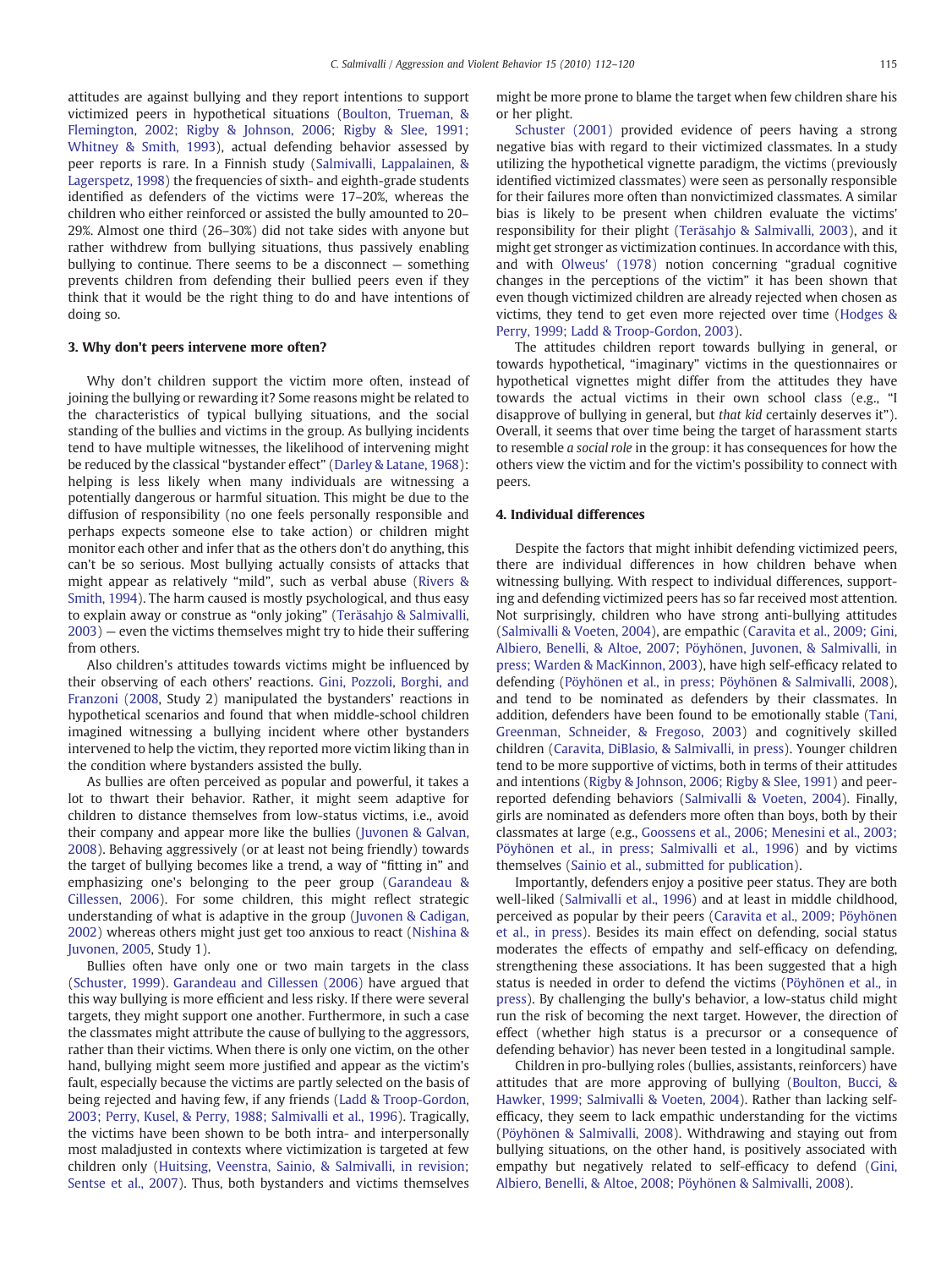attitudes are against bullying and they report intentions to support victimized peers in hypothetical situations [\(Boulton, Trueman, &](#page-6-0) [Flemington, 2002; Rigby & Johnson, 2006; Rigby & Slee, 1991;](#page-6-0) [Whitney & Smith, 1993\)](#page-6-0), actual defending behavior assessed by peer reports is rare. In a Finnish study ([Salmivalli, Lappalainen, &](#page-8-0) [Lagerspetz, 1998](#page-8-0)) the frequencies of sixth- and eighth-grade students identified as defenders of the victims were 17–20%, whereas the children who either reinforced or assisted the bully amounted to 20– 29%. Almost one third (26–30%) did not take sides with anyone but rather withdrew from bullying situations, thus passively enabling bullying to continue. There seems to be a disconnect — something prevents children from defending their bullied peers even if they think that it would be the right thing to do and have intentions of doing so.

#### 3. Why don't peers intervene more often?

Why don't children support the victim more often, instead of joining the bullying or rewarding it? Some reasons might be related to the characteristics of typical bullying situations, and the social standing of the bullies and victims in the group. As bullying incidents tend to have multiple witnesses, the likelihood of intervening might be reduced by the classical "bystander effect" [\(Darley & Latane, 1968](#page-6-0)): helping is less likely when many individuals are witnessing a potentially dangerous or harmful situation. This might be due to the diffusion of responsibility (no one feels personally responsible and perhaps expects someone else to take action) or children might monitor each other and infer that as the others don't do anything, this can't be so serious. Most bullying actually consists of attacks that might appear as relatively "mild", such as verbal abuse ([Rivers &](#page-8-0) [Smith, 1994](#page-8-0)). The harm caused is mostly psychological, and thus easy to explain away or construe as "only joking" ([Teräsahjo & Salmivalli,](#page-8-0) [2003\)](#page-8-0) — even the victims themselves might try to hide their suffering from others.

Also children's attitudes towards victims might be influenced by their observing of each others' reactions. [Gini, Pozzoli, Borghi, and](#page-7-0) [Franzoni \(2008](#page-7-0), Study 2) manipulated the bystanders' reactions in hypothetical scenarios and found that when middle-school children imagined witnessing a bullying incident where other bystanders intervened to help the victim, they reported more victim liking than in the condition where bystanders assisted the bully.

As bullies are often perceived as popular and powerful, it takes a lot to thwart their behavior. Rather, it might seem adaptive for children to distance themselves from low-status victims, i.e., avoid their company and appear more like the bullies ([Juvonen & Galvan,](#page-7-0) [2008\)](#page-7-0). Behaving aggressively (or at least not being friendly) towards the target of bullying becomes like a trend, a way of "fitting in" and emphasizing one's belonging to the peer group ([Garandeau &](#page-7-0) [Cillessen, 2006\)](#page-7-0). For some children, this might reflect strategic understanding of what is adaptive in the group ([Juvonen & Cadigan,](#page-7-0) [2002\)](#page-7-0) whereas others might just get too anxious to react [\(Nishina &](#page-7-0) [Juvonen, 2005,](#page-7-0) Study 1).

Bullies often have only one or two main targets in the class [\(Schuster,](#page-8-0) 1999). [Garandeau and Cillessen \(2006\)](#page-7-0) have argued that this way bullying is more efficient and less risky. If there were several targets, they might support one another. Furthermore, in such a case the classmates might attribute the cause of bullying to the aggressors, rather than their victims. When there is only one victim, on the other hand, bullying might seem more justified and appear as the victim's fault, especially because the victims are partly selected on the basis of being rejected and having few, if any friends [\(Ladd & Troop-Gordon,](#page-7-0) [2003; Perry, Kusel, & Perry, 1988; Salmivalli et al., 1996\)](#page-7-0). Tragically, the victims have been shown to be both intra- and interpersonally most maladjusted in contexts where victimization is targeted at few children only [\(Huitsing, Veenstra, Sainio, & Salmivalli, in revision;](#page-7-0) [Sentse et al., 2007\)](#page-7-0). Thus, both bystanders and victims themselves

might be more prone to blame the target when few children share his or her plight.

[Schuster \(2001\)](#page-8-0) provided evidence of peers having a strong negative bias with regard to their victimized classmates. In a study utilizing the hypothetical vignette paradigm, the victims (previously identified victimized classmates) were seen as personally responsible for their failures more often than nonvictimized classmates. A similar bias is likely to be present when children evaluate the victims' responsibility for their plight [\(Teräsahjo & Salmivalli, 2003\)](#page-8-0), and it might get stronger as victimization continues. In accordance with this, and with [Olweus' \(1978\)](#page-7-0) notion concerning "gradual cognitive changes in the perceptions of the victim" it has been shown that even though victimized children are already rejected when chosen as victims, they tend to get even more rejected over time ([Hodges &](#page-7-0) [Perry, 1999; Ladd & Troop-Gordon, 2003](#page-7-0)).

The attitudes children report towards bullying in general, or towards hypothetical, "imaginary" victims in the questionnaires or hypothetical vignettes might differ from the attitudes they have towards the actual victims in their own school class (e.g., "I disapprove of bullying in general, but that kid certainly deserves it"). Overall, it seems that over time being the target of harassment starts to resemble a social role in the group: it has consequences for how the others view the victim and for the victim's possibility to connect with peers.

#### 4. Individual differences

Despite the factors that might inhibit defending victimized peers, there are individual differences in how children behave when witnessing bullying. With respect to individual differences, supporting and defending victimized peers has so far received most attention. Not surprisingly, children who have strong anti-bullying attitudes [\(Salmivalli & Voeten, 2004](#page-8-0)), are empathic [\(Caravita et al., 2009; Gini,](#page-6-0) [Albiero, Benelli, & Altoe, 2007; Pöyhönen, Juvonen, & Salmivalli, in](#page-6-0) [press; Warden & MacKinnon, 2003\)](#page-6-0), have high self-efficacy related to defending [\(Pöyhönen et al., in press; Pöyhönen & Salmivalli, 2008](#page-7-0)), and tend to be nominated as defenders by their classmates. In addition, defenders have been found to be emotionally stable [\(Tani,](#page-8-0) [Greenman, Schneider, & Fregoso, 2003](#page-8-0)) and cognitively skilled children ([Caravita, DiBlasio, & Salmivalli, in press\)](#page-6-0). Younger children tend to be more supportive of victims, both in terms of their attitudes and intentions (Rigby [& Johnson, 2006; Rigby & Slee, 1991](#page-8-0)) and peerreported defending behaviors ([Salmivalli & Voeten, 2004\)](#page-8-0). Finally, girls are nominated as defenders more often than boys, both by their classmates at large (e.g., [Goossens et al., 2006; Menesini et al., 2003;](#page-7-0) [Pöyhönen et al., in press; Salmivalli et al., 1996\)](#page-7-0) and by victims themselves [\(Sainio et al., submitted for publication\)](#page-8-0).

Importantly, defenders enjoy a positive peer status. They are both well-liked ([Salmivalli et al., 1996\)](#page-8-0) and at least in middle childhood, perceived as popular by their peers [\(Caravita et al., 2009; Pöyhönen](#page-6-0) [et al., in press](#page-6-0)). Besides its main effect on defending, social status moderates the effects of empathy and self-efficacy on defending, strengthening these associations. It has been suggested that a high status is needed in order to defend the victims [\(Pöyhönen et al., in](#page-7-0) [press\)](#page-7-0). By challenging the bully's behavior, a low-status child might run the risk of becoming the next target. However, the direction of effect (whether high status is a precursor or a consequence of defending behavior) has never been tested in a longitudinal sample.

Children in pro-bullying roles (bullies, assistants, reinforcers) have attitudes that are more approving of bullying ([Boulton, Bucci, &](#page-6-0) [Hawker, 1999; Salmivalli & Voeten, 2004\)](#page-6-0). Rather than lacking selfefficacy, they seem to lack empathic understanding for the victims [\(Pöyhönen & Salmivalli, 2008](#page-7-0)). Withdrawing and staying out from bullying situations, on the other hand, is positively associated with empathy but negatively related to self-efficacy to defend ([Gini,](#page-7-0) [Albiero, Benelli, & Altoe, 2008; Pöyhönen & Salmivalli, 2008\)](#page-7-0).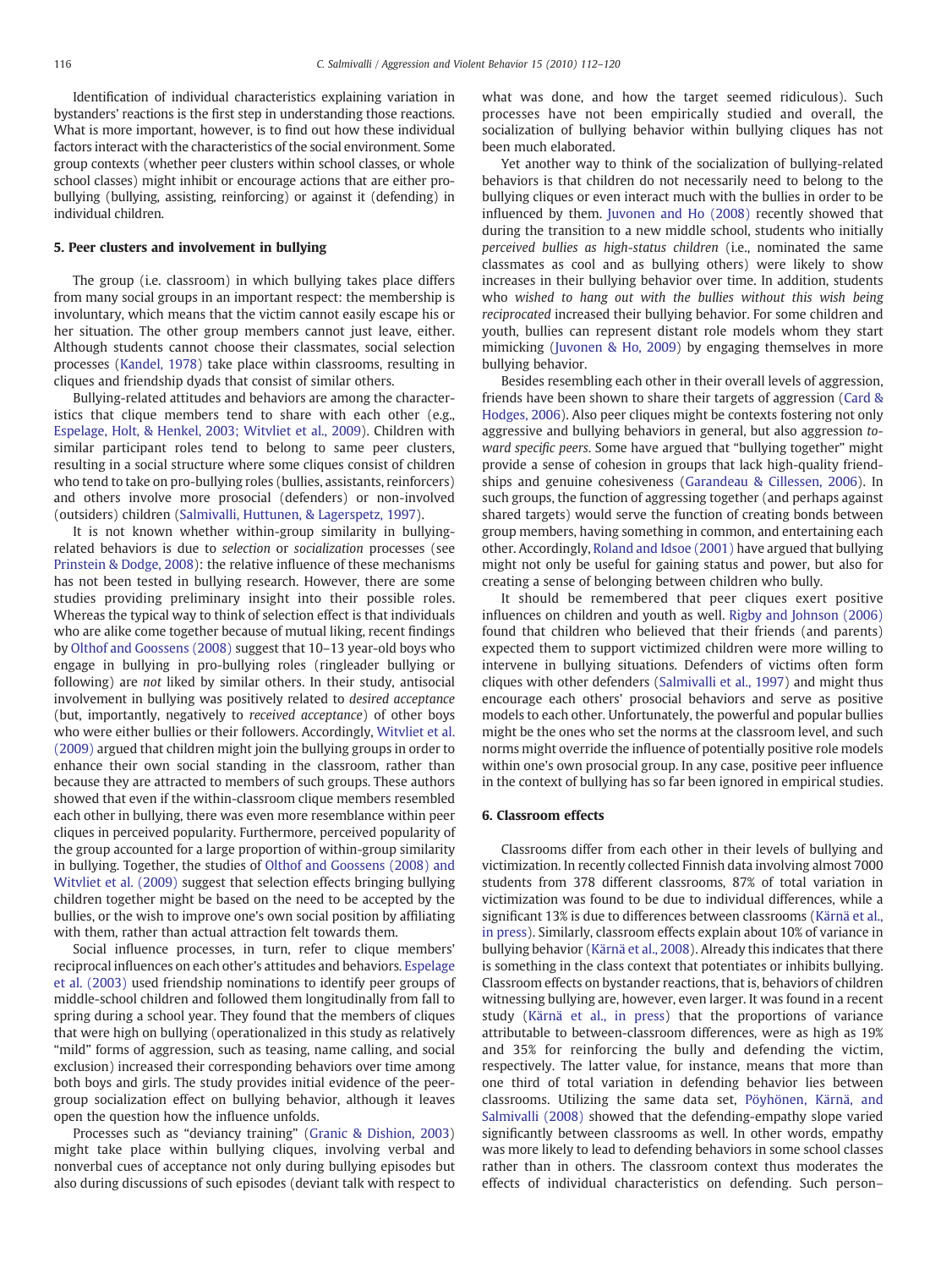Identification of individual characteristics explaining variation in bystanders' reactions is the first step in understanding those reactions. What is more important, however, is to find out how these individual factors interact with the characteristics of the social environment. Some group contexts (whether peer clusters within school classes, or whole school classes) might inhibit or encourage actions that are either probullying (bullying, assisting, reinforcing) or against it (defending) in individual children.

#### 5. Peer clusters and involvement in bullying

The group (i.e. classroom) in which bullying takes place differs from many social groups in an important respect: the membership is involuntary, which means that the victim cannot easily escape his or her situation. The other group members cannot just leave, either. Although students cannot choose their classmates, social selection processes [\(Kandel, 1978](#page-7-0)) take place within classrooms, resulting in cliques and friendship dyads that consist of similar others.

Bullying-related attitudes and behaviors are among the characteristics that clique members tend to share with each other (e.g., [Espelage, Holt, & Henkel, 2003; Witvliet et al., 2009\)](#page-7-0). Children with similar participant roles tend to belong to same peer clusters, resulting in a social structure where some cliques consist of children who tend to take on pro-bullying roles (bullies, assistants, reinforcers) and others involve more prosocial (defenders) or non-involved (outsiders) children ([Salmivalli, Huttunen, & Lagerspetz, 1997](#page-8-0)).

It is not known whether within-group similarity in bullyingrelated behaviors is due to selection or socialization processes (see [Prinstein & Dodge, 2008](#page-7-0)): the relative influence of these mechanisms has not been tested in bullying research. However, there are some studies providing preliminary insight into their possible roles. Whereas the typical way to think of selection effect is that individuals who are alike come together because of mutual liking, recent findings by [Olthof and Goossens \(2008\)](#page-7-0) suggest that 10–13 year-old boys who engage in bullying in pro-bullying roles (ringleader bullying or following) are not liked by similar others. In their study, antisocial involvement in bullying was positively related to desired acceptance (but, importantly, negatively to received acceptance) of other boys who were either bullies or their followers. Accordingly, [Witvliet et al.](#page-8-0) [\(2009\)](#page-8-0) argued that children might join the bullying groups in order to enhance their own social standing in the classroom, rather than because they are attracted to members of such groups. These authors showed that even if the within-classroom clique members resembled each other in bullying, there was even more resemblance within peer cliques in perceived popularity. Furthermore, perceived popularity of the group accounted for a large proportion of within-group similarity in bullying. Together, the studies of [Olthof and Goossens \(2008\) and](#page-7-0) [Witvliet et al. \(2009\)](#page-7-0) suggest that selection effects bringing bullying children together might be based on the need to be accepted by the bullies, or the wish to improve one's own social position by affiliating with them, rather than actual attraction felt towards them.

Social influence processes, in turn, refer to clique members' reciprocal influences on each other's attitudes and behaviors. [Espelage](#page-7-0) [et al. \(2003\)](#page-7-0) used friendship nominations to identify peer groups of middle-school children and followed them longitudinally from fall to spring during a school year. They found that the members of cliques that were high on bullying (operationalized in this study as relatively "mild" forms of aggression, such as teasing, name calling, and social exclusion) increased their corresponding behaviors over time among both boys and girls. The study provides initial evidence of the peergroup socialization effect on bullying behavior, although it leaves open the question how the influence unfolds.

Processes such as "deviancy training" ([Granic & Dishion, 2003](#page-7-0)) might take place within bullying cliques, involving verbal and nonverbal cues of acceptance not only during bullying episodes but also during discussions of such episodes (deviant talk with respect to what was done, and how the target seemed ridiculous). Such processes have not been empirically studied and overall, the socialization of bullying behavior within bullying cliques has not been much elaborated.

Yet another way to think of the socialization of bullying-related behaviors is that children do not necessarily need to belong to the bullying cliques or even interact much with the bullies in order to be influenced by them. [Juvonen and Ho \(2008\)](#page-7-0) recently showed that during the transition to a new middle school, students who initially perceived bullies as high-status children (i.e., nominated the same classmates as cool and as bullying others) were likely to show increases in their bullying behavior over time. In addition, students who wished to hang out with the bullies without this wish being reciprocated increased their bullying behavior. For some children and youth, bullies can represent distant role models whom they start mimicking [\(Juvonen & Ho, 2009](#page-0-0)) by engaging themselves in more bullying behavior.

Besides resembling each other in their overall levels of aggression, friends have been shown to share their targets of aggression [\(Card &](#page-6-0) [Hodges, 2006\)](#page-6-0). Also peer cliques might be contexts fostering not only aggressive and bullying behaviors in general, but also aggression toward specific peers. Some have argued that "bullying together" might provide a sense of cohesion in groups that lack high-quality friendships and genuine cohesiveness ([Garandeau & Cillessen, 2006\)](#page-7-0). In such groups, the function of aggressing together (and perhaps against shared targets) would serve the function of creating bonds between group members, having something in common, and entertaining each other. Accordingly, [Roland and Idsoe \(2001\)](#page-8-0) have argued that bullying might not only be useful for gaining status and power, but also for creating a sense of belonging between children who bully.

It should be remembered that peer cliques exert positive influences on children and youth as well. [Rigby and Johnson \(2006\)](#page-8-0) found that children who believed that their friends (and parents) expected them to support victimized children were more willing to intervene in bullying situations. Defenders of victims often form cliques with other defenders ([Salmivalli et al., 1997\)](#page-8-0) and might thus encourage each others' prosocial behaviors and serve as positive models to each other. Unfortunately, the powerful and popular bullies might be the ones who set the norms at the classroom level, and such norms might override the influence of potentially positive role models within one's own prosocial group. In any case, positive peer influence in the context of bullying has so far been ignored in empirical studies.

### 6. Classroom effects

Classrooms differ from each other in their levels of bullying and victimization. In recently collected Finnish data involving almost 7000 students from 378 different classrooms, 87% of total variation in victimization was found to be due to individual differences, while a significant 13% is due to differences between classrooms [\(Kärnä et al.,](#page-7-0) [in press\)](#page-7-0). Similarly, classroom effects explain about 10% of variance in bullying behavior [\(Kärnä et al., 2008\)](#page-7-0). Already this indicates that there is something in the class context that potentiates or inhibits bullying. Classroom effects on bystander reactions, that is, behaviors of children witnessing bullying are, however, even larger. It was found in a recent study ([Kärnä et al., in press](#page-7-0)) that the proportions of variance attributable to between-classroom differences, were as high as 19% and 35% for reinforcing the bully and defending the victim, respectively. The latter value, for instance, means that more than one third of total variation in defending behavior lies between classrooms. Utilizing the same data set, [Pöyhönen, Kärnä, and](#page-7-0) [Salmivalli \(2008\)](#page-7-0) showed that the defending-empathy slope varied significantly between classrooms as well. In other words, empathy was more likely to lead to defending behaviors in some school classes rather than in others. The classroom context thus moderates the effects of individual characteristics on defending. Such person–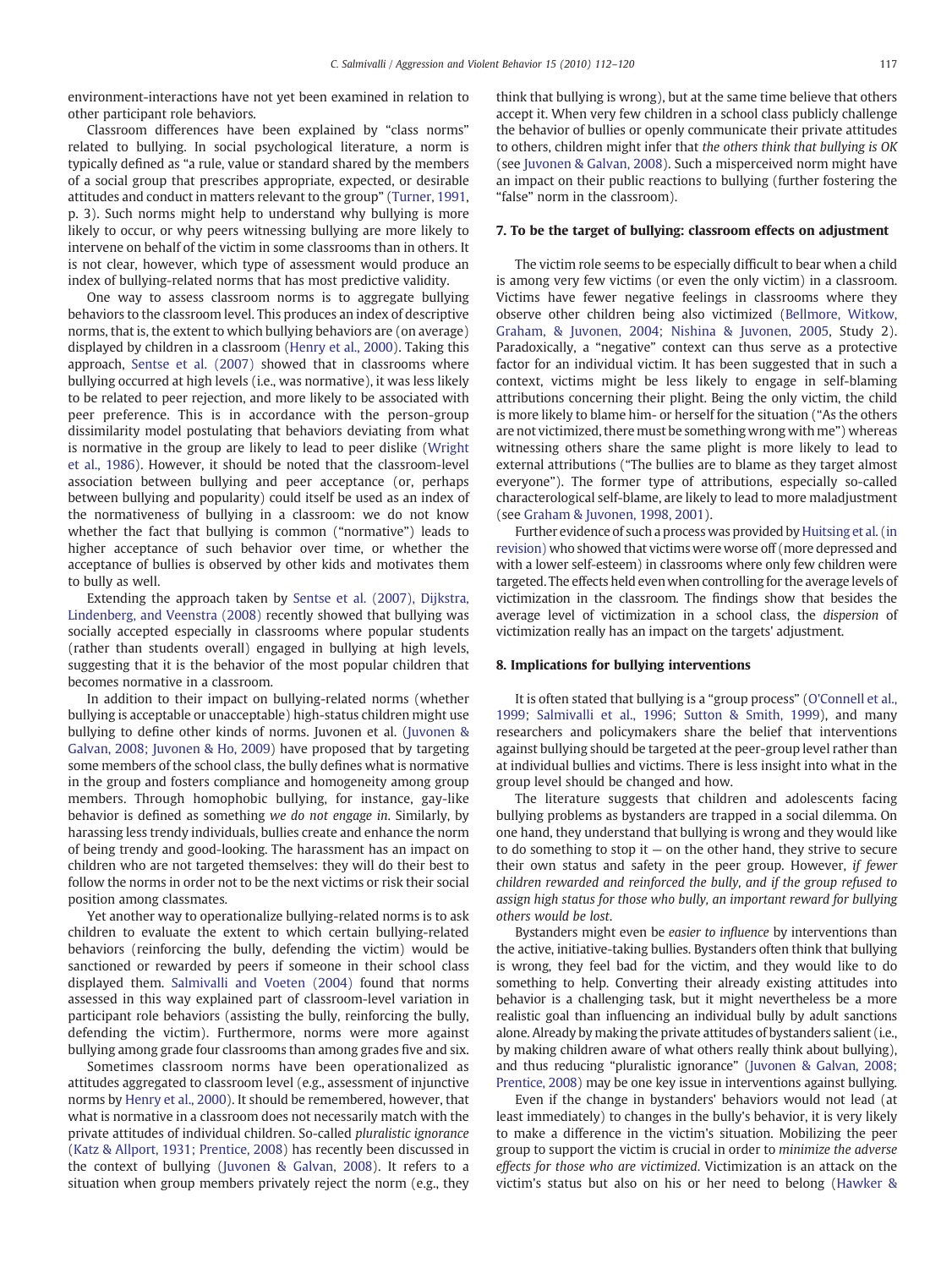environment-interactions have not yet been examined in relation to other participant role behaviors.

Classroom differences have been explained by "class norms" related to bullying. In social psychological literature, a norm is typically defined as "a rule, value or standard shared by the members of a social group that prescribes appropriate, expected, or desirable attitudes and conduct in matters relevant to the group" [\(Turner, 1991,](#page-8-0) p. 3). Such norms might help to understand why bullying is more likely to occur, or why peers witnessing bullying are more likely to intervene on behalf of the victim in some classrooms than in others. It is not clear, however, which type of assessment would produce an index of bullying-related norms that has most predictive validity.

One way to assess classroom norms is to aggregate bullying behaviors to the classroom level. This produces an index of descriptive norms, that is, the extent to which bullying behaviors are (on average) displayed by children in a classroom [\(Henry et al., 2000\)](#page-7-0). Taking this approach, [Sentse et al. \(2007\)](#page-8-0) showed that in classrooms where bullying occurred at high levels (i.e., was normative), it was less likely to be related to peer rejection, and more likely to be associated with peer preference. This is in accordance with the person-group dissimilarity model postulating that behaviors deviating from what is normative in the group are likely to lead to peer dislike ([Wright](#page-8-0) [et al., 1986](#page-8-0)). However, it should be noted that the classroom-level association between bullying and peer acceptance (or, perhaps between bullying and popularity) could itself be used as an index of the normativeness of bullying in a classroom: we do not know whether the fact that bullying is common ("normative") leads to higher acceptance of such behavior over time, or whether the acceptance of bullies is observed by other kids and motivates them to bully as well.

Extending the approach taken by [Sentse et al. \(2007\), Dijkstra,](#page-8-0) [Lindenberg, and Veenstra \(2008\)](#page-8-0) recently showed that bullying was socially accepted especially in classrooms where popular students (rather than students overall) engaged in bullying at high levels, suggesting that it is the behavior of the most popular children that becomes normative in a classroom.

In addition to their impact on bullying-related norms (whether bullying is acceptable or unacceptable) high-status children might use bullying to define other kinds of norms. Juvonen et al. [\(Juvonen &](#page-7-0) [Galvan, 2008; Juvonen & Ho, 2009](#page-7-0)) have proposed that by targeting some members of the school class, the bully defines what is normative in the group and fosters compliance and homogeneity among group members. Through homophobic bullying, for instance, gay-like behavior is defined as something we do not engage in. Similarly, by harassing less trendy individuals, bullies create and enhance the norm of being trendy and good-looking. The harassment has an impact on children who are not targeted themselves: they will do their best to follow the norms in order not to be the next victims or risk their social position among classmates.

Yet another way to operationalize bullying-related norms is to ask children to evaluate the extent to which certain bullying-related behaviors (reinforcing the bully, defending the victim) would be sanctioned or rewarded by peers if someone in their school class displayed them. [Salmivalli and Voeten \(2004\)](#page-8-0) found that norms assessed in this way explained part of classroom-level variation in participant role behaviors (assisting the bully, reinforcing the bully, defending the victim). Furthermore, norms were more against bullying among grade four classrooms than among grades five and six.

Sometimes classroom norms have been operationalized as attitudes aggregated to classroom level (e.g., assessment of injunctive norms by [Henry et al., 2000\)](#page-7-0). It should be remembered, however, that what is normative in a classroom does not necessarily match with the private attitudes of individual children. So-called pluralistic ignorance [\(Katz & Allport, 1931; Prentice, 2008\)](#page-7-0) has recently been discussed in the context of bullying ([Juvonen & Galvan, 2008](#page-7-0)). It refers to a situation when group members privately reject the norm (e.g., they think that bullying is wrong), but at the same time believe that others accept it. When very few children in a school class publicly challenge the behavior of bullies or openly communicate their private attitudes to others, children might infer that the others think that bullying is OK (see [Juvonen & Galvan, 2008\)](#page-7-0). Such a misperceived norm might have an impact on their public reactions to bullying (further fostering the "false" norm in the classroom).

#### 7. To be the target of bullying: classroom effects on adjustment

The victim role seems to be especially difficult to bear when a child is among very few victims (or even the only victim) in a classroom. Victims have fewer negative feelings in classrooms where they observe other children being also victimized ([Bellmore, Witkow,](#page-6-0) [Graham, & Juvonen, 2004; Nishina & Juvonen, 2005,](#page-6-0) Study 2). Paradoxically, a "negative" context can thus serve as a protective factor for an individual victim. It has been suggested that in such a context, victims might be less likely to engage in self-blaming attributions concerning their plight. Being the only victim, the child is more likely to blame him- or herself for the situation ("As the others are not victimized, there must be something wrong with me") whereas witnessing others share the same plight is more likely to lead to external attributions ("The bullies are to blame as they target almost everyone"). The former type of attributions, especially so-called characterological self-blame, are likely to lead to more maladjustment (see [Graham & Juvonen, 1998, 2001\)](#page-7-0).

Further evidence of such a process was provided by [Huitsing et al. \(in](#page-7-0) [revision\)](#page-7-0) who showed that victims were worse off (more depressed and with a lower self-esteem) in classrooms where only few children were targeted. The effects held even when controlling for the average levels of victimization in the classroom. The findings show that besides the average level of victimization in a school class, the dispersion of victimization really has an impact on the targets' adjustment.

#### 8. Implications for bullying interventions

It is often stated that bullying is a "group process" ([O'Connell et al.,](#page-7-0) [1999; Salmivalli et al., 1996; Sutton & Smith, 1999\)](#page-7-0), and many researchers and policymakers share the belief that interventions against bullying should be targeted at the peer-group level rather than at individual bullies and victims. There is less insight into what in the group level should be changed and how.

The literature suggests that children and adolescents facing bullying problems as bystanders are trapped in a social dilemma. On one hand, they understand that bullying is wrong and they would like to do something to stop it  $-$  on the other hand, they strive to secure their own status and safety in the peer group. However, if fewer children rewarded and reinforced the bully, and if the group refused to assign high status for those who bully, an important reward for bullying others would be lost.

Bystanders might even be easier to influence by interventions than the active, initiative-taking bullies. Bystanders often think that bullying is wrong, they feel bad for the victim, and they would like to do something to help. Converting their already existing attitudes into behavior is a challenging task, but it might nevertheless be a more realistic goal than influencing an individual bully by adult sanctions alone. Already by making the private attitudes of bystanders salient (i.e., by making children aware of what others really think about bullying), and thus reducing "pluralistic ignorance" [\(Juvonen & Galvan, 2008;](#page-7-0) [Prentice, 2008](#page-7-0)) may be one key issue in interventions against bullying.

Even if the change in bystanders' behaviors would not lead (at least immediately) to changes in the bully's behavior, it is very likely to make a difference in the victim's situation. Mobilizing the peer group to support the victim is crucial in order to minimize the adverse effects for those who are victimized. Victimization is an attack on the victim's status but also on his or her need to belong ([Hawker &](#page-7-0)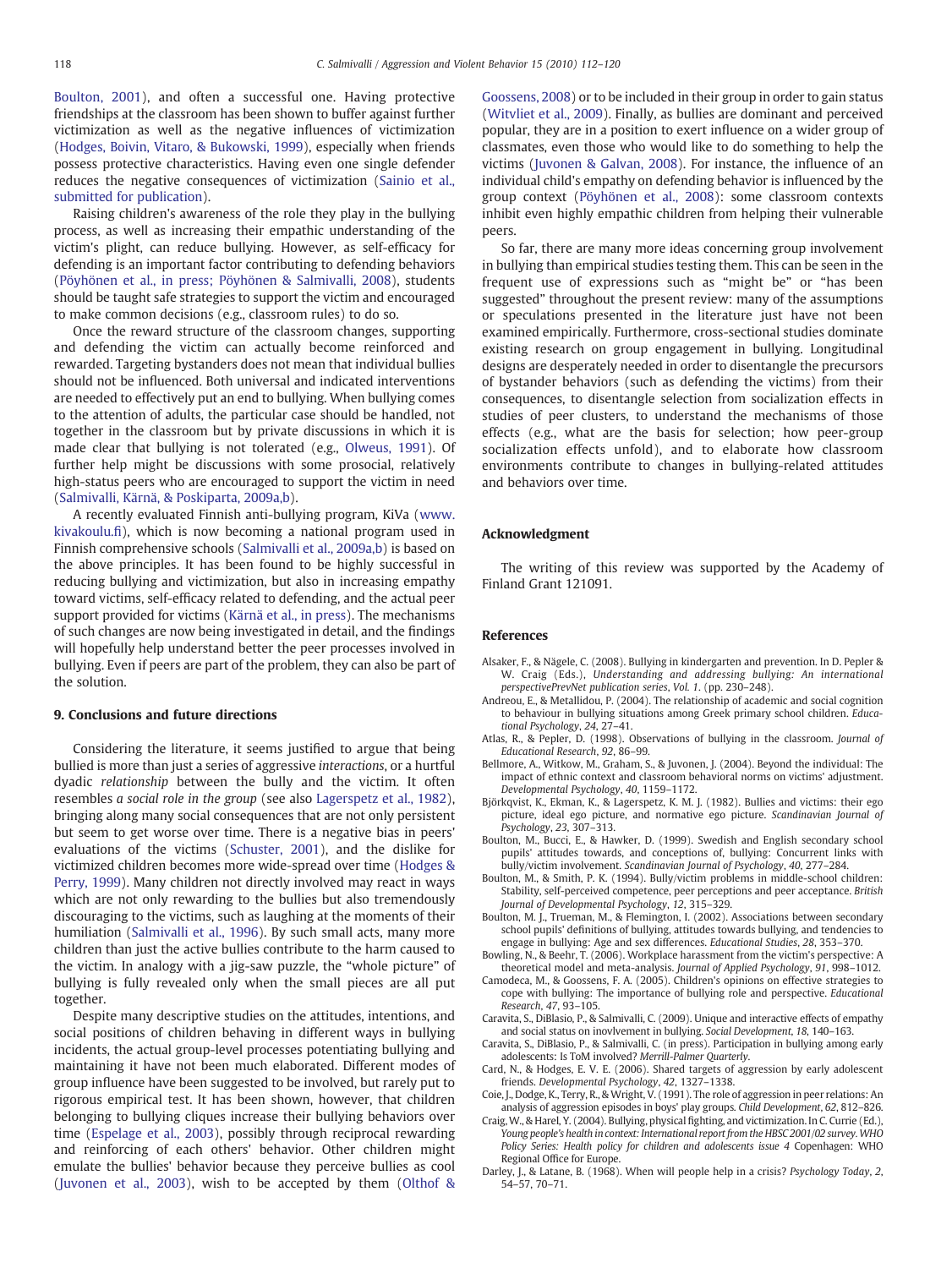<span id="page-6-0"></span>[Boulton, 2001\)](#page-7-0), and often a successful one. Having protective friendships at the classroom has been shown to buffer against further victimization as well as the negative influences of victimization [\(Hodges, Boivin, Vitaro, & Bukowski, 1999\)](#page-7-0), especially when friends possess protective characteristics. Having even one single defender reduces the negative consequences of victimization [\(Sainio et al.,](#page-8-0) [submitted for publication\)](#page-8-0).

Raising children's awareness of the role they play in the bullying process, as well as increasing their empathic understanding of the victim's plight, can reduce bullying. However, as self-efficacy for defending is an important factor contributing to defending behaviors [\(Pöyhönen et al., in press; Pöyhönen & Salmivalli, 2008\)](#page-7-0), students should be taught safe strategies to support the victim and encouraged to make common decisions (e.g., classroom rules) to do so.

Once the reward structure of the classroom changes, supporting and defending the victim can actually become reinforced and rewarded. Targeting bystanders does not mean that individual bullies should not be influenced. Both universal and indicated interventions are needed to effectively put an end to bullying. When bullying comes to the attention of adults, the particular case should be handled, not together in the classroom but by private discussions in which it is made clear that bullying is not tolerated (e.g., [Olweus, 1991](#page-7-0)). Of further help might be discussions with some prosocial, relatively high-status peers who are encouraged to support the victim in need [\(Salmivalli, Kärnä, & Poskiparta, 2009a,b](#page-8-0)).

A recently evaluated Finnish anti-bullying program, KiVa ([www.](#page-8-0) [kivakoulu.](#page-8-0)fi), which is now becoming a national program used in Finnish comprehensive schools [\(Salmivalli et al., 2009a,b](#page-8-0)) is based on the above principles. It has been found to be highly successful in reducing bullying and victimization, but also in increasing empathy toward victims, self-efficacy related to defending, and the actual peer support provided for victims [\(Kärnä et al., in press\)](#page-7-0). The mechanisms of such changes are now being investigated in detail, and the findings will hopefully help understand better the peer processes involved in bullying. Even if peers are part of the problem, they can also be part of the solution.

#### 9. Conclusions and future directions

Considering the literature, it seems justified to argue that being bullied is more than just a series of aggressive interactions, or a hurtful dyadic relationship between the bully and the victim. It often resembles a social role in the group (see also [Lagerspetz et al., 1982](#page-7-0)), bringing along many social consequences that are not only persistent but seem to get worse over time. There is a negative bias in peers' evaluations of the victims [\(Schuster, 2001](#page-8-0)), and the dislike for victimized children becomes more wide-spread over time [\(Hodges &](#page-7-0) [Perry, 1999\)](#page-7-0). Many children not directly involved may react in ways which are not only rewarding to the bullies but also tremendously discouraging to the victims, such as laughing at the moments of their humiliation [\(Salmivalli et al., 1996\)](#page-8-0). By such small acts, many more children than just the active bullies contribute to the harm caused to the victim. In analogy with a jig-saw puzzle, the "whole picture" of bullying is fully revealed only when the small pieces are all put together.

Despite many descriptive studies on the attitudes, intentions, and social positions of children behaving in different ways in bullying incidents, the actual group-level processes potentiating bullying and maintaining it have not been much elaborated. Different modes of group influence have been suggested to be involved, but rarely put to rigorous empirical test. It has been shown, however, that children belonging to bullying cliques increase their bullying behaviors over time [\(Espelage et al., 2003\)](#page-7-0), possibly through reciprocal rewarding and reinforcing of each others' behavior. Other children might emulate the bullies' behavior because they perceive bullies as cool [\(Juvonen et al., 2003](#page-7-0)), wish to be accepted by them ([Olthof &](#page-7-0)

[Goossens, 2008](#page-7-0)) or to be included in their group in order to gain status [\(Witvliet et al., 2009](#page-8-0)). Finally, as bullies are dominant and perceived popular, they are in a position to exert influence on a wider group of classmates, even those who would like to do something to help the victims ([Juvonen & Galvan, 2008](#page-7-0)). For instance, the influence of an individual child's empathy on defending behavior is influenced by the group context ([Pöyhönen et al., 2008](#page-7-0)): some classroom contexts inhibit even highly empathic children from helping their vulnerable peers.

So far, there are many more ideas concerning group involvement in bullying than empirical studies testing them. This can be seen in the frequent use of expressions such as "might be" or "has been suggested" throughout the present review: many of the assumptions or speculations presented in the literature just have not been examined empirically. Furthermore, cross-sectional studies dominate existing research on group engagement in bullying. Longitudinal designs are desperately needed in order to disentangle the precursors of bystander behaviors (such as defending the victims) from their consequences, to disentangle selection from socialization effects in studies of peer clusters, to understand the mechanisms of those effects (e.g., what are the basis for selection; how peer-group socialization effects unfold), and to elaborate how classroom environments contribute to changes in bullying-related attitudes and behaviors over time.

#### Acknowledgment

The writing of this review was supported by the Academy of Finland Grant 121091.

#### References

- Alsaker, F., & Nägele, C. (2008). Bullying in kindergarten and prevention. In D. Pepler & W. Craig (Eds.), Understanding and addressing bullying: An international perspectivePrevNet publication series, Vol. 1. (pp. 230–248).
- Andreou, E., & Metallidou, P. (2004). The relationship of academic and social cognition to behaviour in bullying situations among Greek primary school children. Educational Psychology, 24, 27–41.
- Atlas, R., & Pepler, D. (1998). Observations of bullying in the classroom. Journal of Educational Research, 92, 86–99.
- Bellmore, A., Witkow, M., Graham, S., & Juvonen, J. (2004). Beyond the individual: The impact of ethnic context and classroom behavioral norms on victims' adjustment. Developmental Psychology, 40, 1159–1172.
- Björkqvist, K., Ekman, K., & Lagerspetz, K. M. J. (1982). Bullies and victims: their ego picture, ideal ego picture, and normative ego picture. Scandinavian Journal of Psychology, 23, 307–313.
- Boulton, M., Bucci, E., & Hawker, D. (1999). Swedish and English secondary school pupils' attitudes towards, and conceptions of, bullying: Concurrent links with bully/victim involvement. Scandinavian Journal of Psychology, 40, 277–284.
- Boulton, M., & Smith, P. K. (1994). Bully/victim problems in middle-school children: Stability, self-perceived competence, peer perceptions and peer acceptance. British Journal of Developmental Psychology, 12, 315–329.
- Boulton, M. J., Trueman, M., & Flemington, I. (2002). Associations between secondary school pupils' definitions of bullying, attitudes towards bullying, and tendencies to engage in bullying: Age and sex differences. Educational Studies, 28, 353–370.
- Bowling, N., & Beehr, T. (2006). Workplace harassment from the victim's perspective: A theoretical model and meta-analysis. Journal of Applied Psychology, 91, 998-1012.
- Camodeca, M., & Goossens, F. A. (2005). Children's opinions on effective strategies to cope with bullying: The importance of bullying role and perspective. Educational Research, 47, 93–105.
- Caravita, S., DiBlasio, P., & Salmivalli, C. (2009). Unique and interactive effects of empathy and social status on inovlvement in bullying. Social Development, 18, 140–163.
- Caravita, S., DiBlasio, P., & Salmivalli, C. (in press). Participation in bullying among early adolescents: Is ToM involved? Merrill-Palmer Quarterly.
- Card, N., & Hodges, E. V. E. (2006). Shared targets of aggression by early adolescent friends. Developmental Psychology, 42, 1327–1338.
- Coie, J., Dodge, K., Terry, R., & Wright, V. (1991). The role of aggression in peer relations: An analysis of aggression episodes in boys' play groups. Child Development, 62, 812–826. Craig,W., & Harel, Y. (2004). Bullying, physical fighting, and victimization. In C. Currie (Ed.),
- Young people's health in context: International report from the HBSC 2001/02 survey.WHO Policy Series: Health policy for children and adolescents issue 4 Copenhagen: WHO Regional Office for Europe.
- Darley, J., & Latane, B. (1968). When will people help in a crisis? Psychology Today, 2, 54–57, 70–71.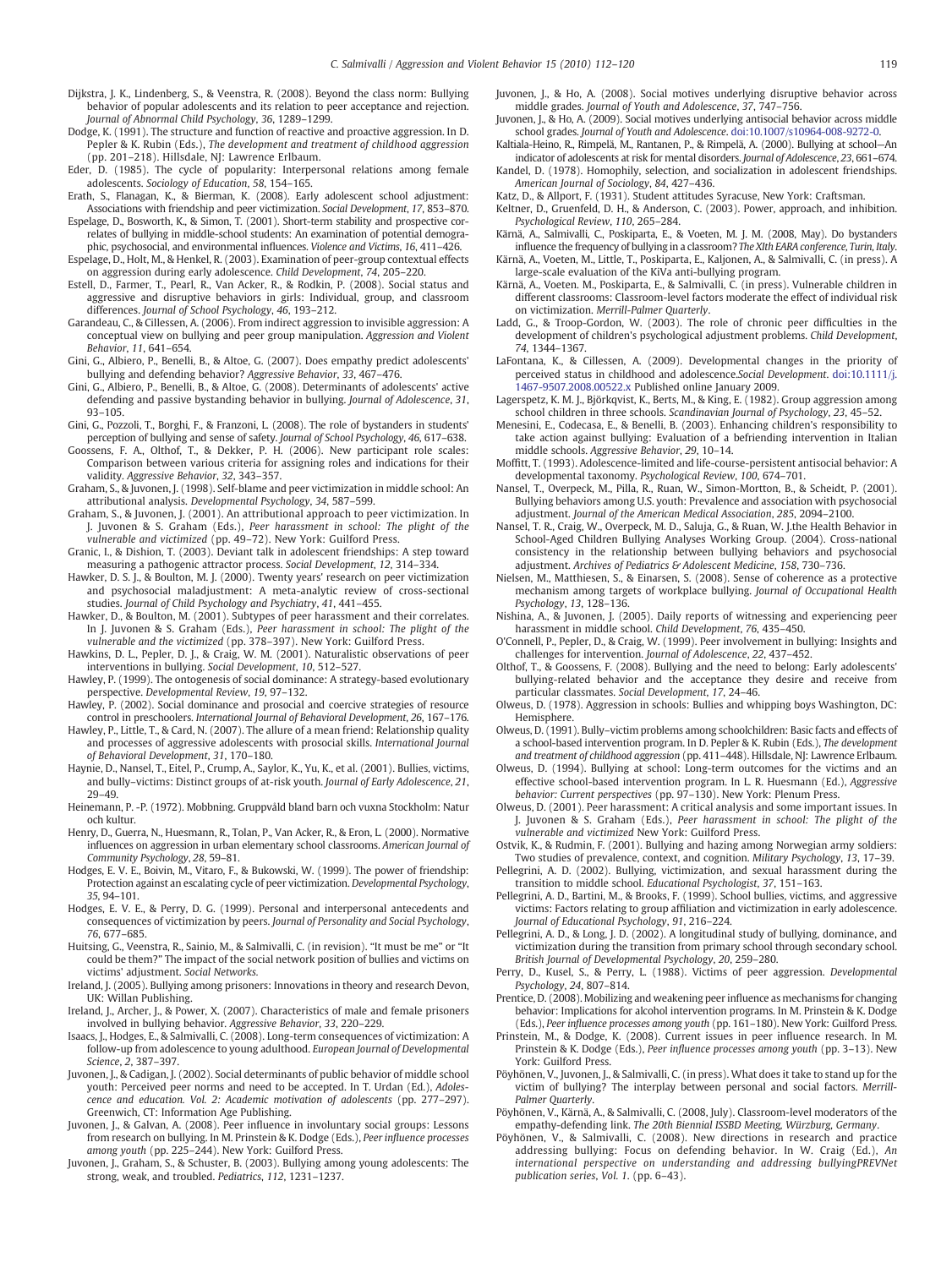- <span id="page-7-0"></span>Dijkstra, J. K., Lindenberg, S., & Veenstra, R. (2008). Beyond the class norm: Bullying behavior of popular adolescents and its relation to peer acceptance and rejection. Journal of Abnormal Child Psychology, 36, 1289–1299.
- Dodge, K. (1991). The structure and function of reactive and proactive aggression. In D. Pepler & K. Rubin (Eds.), The development and treatment of childhood aggression (pp. 201–218). Hillsdale, NJ: Lawrence Erlbaum.
- Eder, D. (1985). The cycle of popularity: Interpersonal relations among female adolescents. Sociology of Education, 58, 154–165.
- Erath, S., Flanagan, K., & Bierman, K. (2008). Early adolescent school adjustment: Associations with friendship and peer victimization. Social Development, 17, 853–870. Espelage, D., Bosworth, K., & Simon, T. (2001). Short-term stability and prospective cor-
- relates of bullying in middle-school students: An examination of potential demographic, psychosocial, and environmental influences. Violence and Victims, 16, 411–426.
- Espelage, D., Holt, M., & Henkel, R. (2003). Examination of peer-group contextual effects on aggression during early adolescence. Child Development, 74, 205–220.
- Estell, D., Farmer, T., Pearl, R., Van Acker, R., & Rodkin, P. (2008). Social status and aggressive and disruptive behaviors in girls: Individual, group, and classroom differences. Journal of School Psychology, 46, 193–212.
- Garandeau, C., & Cillessen, A. (2006). From indirect aggression to invisible aggression: A conceptual view on bullying and peer group manipulation. Aggression and Violent Behavior, 11, 641–654.
- Gini, G., Albiero, P., Benelli, B., & Altoe, G. (2007). Does empathy predict adolescents' bullying and defending behavior? Aggressive Behavior, 33, 467–476.
- Gini, G., Albiero, P., Benelli, B., & Altoe, G. (2008). Determinants of adolescents' active defending and passive bystanding behavior in bullying. Journal of Adolescence, 31, 93–105.
- Gini, G., Pozzoli, T., Borghi, F., & Franzoni, L. (2008). The role of bystanders in students' perception of bullying and sense of safety. Journal of School Psychology, 46, 617–638.
- Goossens, F. A., Olthof, T., & Dekker, P. H. (2006). New participant role scales: Comparison between various criteria for assigning roles and indications for their validity. Aggressive Behavior, 32, 343–357.
- Graham, S., & Juvonen, J. (1998). Self-blame and peer victimization in middle school: An attributional analysis. Developmental Psychology, 34, 587–599.
- Graham, S., & Juvonen, J. (2001). An attributional approach to peer victimization. In J. Juvonen & S. Graham (Eds.), Peer harassment in school: The plight of the vulnerable and victimized (pp. 49–72). New York: Guilford Press.
- Granic, I., & Dishion, T. (2003). Deviant talk in adolescent friendships: A step toward measuring a pathogenic attractor process. Social Development, 12, 314–334.
- Hawker, D. S. J., & Boulton, M. J. (2000). Twenty years' research on peer victimization and psychosocial maladjustment: A meta-analytic review of cross-sectional studies. Journal of Child Psychology and Psychiatry, 41, 441–455.
- Hawker, D., & Boulton, M. (2001). Subtypes of peer harassment and their correlates. In J. Juvonen & S. Graham (Eds.), Peer harassment in school: The plight of the vulnerable and the victimized (pp. 378–397). New York: Guilford Press.
- Hawkins, D. L., Pepler, D. J., & Craig, W. M. (2001). Naturalistic observations of peer interventions in bullying. Social Development, 10, 512–527.
- Hawley, P. (1999). The ontogenesis of social dominance: A strategy-based evolutionary perspective. Developmental Review, 19, 97–132.
- Hawley, P. (2002). Social dominance and prosocial and coercive strategies of resource control in preschoolers. International Journal of Behavioral Development, 26, 167–176.
- Hawley, P., Little, T., & Card, N. (2007). The allure of a mean friend: Relationship quality and processes of aggressive adolescents with prosocial skills. International Journal of Behavioral Development, 31, 170–180.
- Haynie, D., Nansel, T., Eitel, P., Crump, A., Saylor, K., Yu, K., et al. (2001). Bullies, victims, and bully–victims: Distinct groups of at-risk youth. Journal of Early Adolescence, 21, 29–49.
- Heinemann, P. -P. (1972). Mobbning. Gruppvåld bland barn och vuxna Stockholm: Natur och kultur.
- Henry, D., Guerra, N., Huesmann, R., Tolan, P., Van Acker, R., & Eron, L. (2000). Normative influences on aggression in urban elementary school classrooms. American Journal of Community Psychology, 28, 59–81.
- Hodges, E. V. E., Boivin, M., Vitaro, F., & Bukowski, W. (1999). The power of friendship: Protection against an escalating cycle of peer victimization. Developmental Psychology, 35, 94–101.
- Hodges, E. V. E., & Perry, D. G. (1999). Personal and interpersonal antecedents and consequences of victimization by peers. Journal of Personality and Social Psychology, 76, 677–685.
- Huitsing, G., Veenstra, R., Sainio, M., & Salmivalli, C. (in revision). "It must be me" or "It could be them?" The impact of the social network position of bullies and victims on victims' adjustment. Social Networks.
- Ireland, J. (2005). Bullying among prisoners: Innovations in theory and research Devon, UK: Willan Publishing.
- Ireland, J., Archer, J., & Power, X. (2007). Characteristics of male and female prisoners involved in bullying behavior. Aggressive Behavior, 33, 220–229.
- Isaacs, J., Hodges, E., & Salmivalli, C. (2008). Long-term consequences of victimization: A follow-up from adolescence to young adulthood. European Journal of Developmental Science, 2, 387–397.
- Juvonen, J., & Cadigan, J. (2002). Social determinants of public behavior of middle school youth: Perceived peer norms and need to be accepted. In T. Urdan (Ed.), Adolescence and education. Vol. 2: Academic motivation of adolescents (pp. 277–297). Greenwich, CT: Information Age Publishing.
- Juvonen, J., & Galvan, A. (2008). Peer influence in involuntary social groups: Lessons from research on bullying. In M. Prinstein & K. Dodge (Eds.), Peer influence processes among youth (pp. 225–244). New York: Guilford Press.
- Juvonen, J., Graham, S., & Schuster, B. (2003). Bullying among young adolescents: The strong, weak, and troubled. Pediatrics, 112, 1231–1237.
- Juvonen, J., & Ho, A. (2008). Social motives underlying disruptive behavior across middle grades. Journal of Youth and Adolescence, 37, 747–756.
- Juvonen, J., & Ho, A. (2009). Social motives underlying antisocial behavior across middle school grades. Journal of Youth and Adolescence. doi:[10.1007/s10964-008-9272-0.](#page-0-0)
- Kaltiala-Heino, R., Rimpelä, M., Rantanen, P., & Rimpelä, A. (2000). Bullying at school—An indicator of adolescents at risk for mental disorders. Journal of Adolescence, 23, 661–674. Kandel, D. (1978). Homophily, selection, and socialization in adolescent friendships.
- American Journal of Sociology, 84, 427–436. Katz, D., & Allport, F. (1931). Student attitudes Syracuse, New York: Craftsman.
- Keltner, D., Gruenfeld, D. H., & Anderson, C. (2003). Power, approach, and inhibition. Psychological Review, 110, 265–284.
- Kärnä, A., Salmivalli, C., Poskiparta, E., & Voeten, M. J. M. (2008, May). Do bystanders influence the frequency of bullying in a classroom? The XIth EARA conference, Turin, Italy. Kärnä, A., Voeten, M., Little, T., Poskiparta, E., Kaljonen, A., & Salmivalli, C. (in press). A
- large-scale evaluation of the KiVa anti-bullying program.
- Kärnä, A., Voeten. M., Poskiparta, E., & Salmivalli, C. (in press). Vulnerable children in different classrooms: Classroom-level factors moderate the effect of individual risk on victimization. Merrill-Palmer Quarterly.
- Ladd, G., & Troop-Gordon, W. (2003). The role of chronic peer difficulties in the development of children's psychological adjustment problems. Child Development, 74, 1344–1367.
- LaFontana, K., & Cillessen, A. (2009). Developmental changes in the priority of perceived status in childhood and adolescence.Social Development. doi[:10.1111/j.](http://dx.doi.org/10.1111/j. 14672008.00522.x) 1467-9507.2008.00522.x [Published online January 2009.](http://dx.doi.org/10.1111/j. 14672008.00522.x)
- Lagerspetz, K. M. J., Björkqvist, K., Berts, M., & King, E. (1982). Group aggression among school children in three schools. Scandinavian Journal of Psychology, 23, 45–52.
- Menesini, E., Codecasa, E., & Benelli, B. (2003). Enhancing children's responsibility to take action against bullying: Evaluation of a befriending intervention in Italian middle schools. Aggressive Behavior, 29, 10–14.
- Moffitt, T. (1993). Adolescence-limited and life-course-persistent antisocial behavior: A developmental taxonomy. Psychological Review, 100, 674–701.
- Nansel, T., Overpeck, M., Pilla, R., Ruan, W., Simon-Mortton, B., & Scheidt, P. (2001). Bullying behaviors among U.S. youth: Prevalence and association with psychosocial adjustment. Journal of the American Medical Association, 285, 2094–2100.
- Nansel, T. R., Craig, W., Overpeck, M. D., Saluja, G., & Ruan, W. J.the Health Behavior in School-Aged Children Bullying Analyses Working Group. (2004). Cross-national consistency in the relationship between bullying behaviors and psychosocial adjustment. Archives of Pediatrics & Adolescent Medicine, 158, 730-736.
- Nielsen, M., Matthiesen, S., & Einarsen, S. (2008). Sense of coherence as a protective mechanism among targets of workplace bullying. Journal of Occupational Health Psychology, 13, 128–136.
- Nishina, A., & Juvonen, J. (2005). Daily reports of witnessing and experiencing peer harassment in middle school. Child Development, 76, 435–450.
- O'Connell, P., Pepler, D., & Craig, W. (1999). Peer involvement in bullying: Insights and challenges for intervention. Journal of Adolescence, 22, 437–452.
- Olthof, T., & Goossens, F. (2008). Bullying and the need to belong: Early adolescents' bullying-related behavior and the acceptance they desire and receive from particular classmates. Social Development, 17, 24–46.
- Olweus, D. (1978). Aggression in schools: Bullies and whipping boys Washington, DC: Hemisphere.
- Olweus, D. (1991). Bully–victim problems among schoolchildren: Basic facts and effects of a school-based intervention program. In D. Pepler & K. Rubin (Eds.), The development and treatment of childhood aggression (pp. 411–448). Hillsdale, NJ: Lawrence Erlbaum.
- Olweus, D. (1994). Bullying at school: Long-term outcomes for the victims and an effective school-based intervention program. In L. R. Huesmann (Ed.), Aggressive behavior: Current perspectives (pp. 97–130). New York: Plenum Press.
- Olweus, D. (2001). Peer harassment: A critical analysis and some important issues. In J. Juvonen & S. Graham (Eds.), Peer harassment in school: The plight of the vulnerable and victimized New York: Guilford Press.
- Ostvik, K., & Rudmin, F. (2001). Bullying and hazing among Norwegian army soldiers: Two studies of prevalence, context, and cognition. Military Psychology, 13, 17–39.
- Pellegrini, A. D. (2002). Bullying, victimization, and sexual harassment during the transition to middle school. Educational Psychologist, 37, 151–163.
- Pellegrini, A. D., Bartini, M., & Brooks, F. (1999). School bullies, victims, and aggressive victims: Factors relating to group affiliation and victimization in early adolescence. Journal of Educational Psychology, 91, 216–224.
- Pellegrini, A. D., & Long, J. D. (2002). A longitudinal study of bullying, dominance, and victimization during the transition from primary school through secondary school. British Journal of Developmental Psychology, 20, 259–280.
- Perry, D., Kusel, S., & Perry, L. (1988). Victims of peer aggression. Developmental Psychology, 24, 807–814.
- Prentice, D. (2008). Mobilizing and weakening peer influence as mechanisms for changing behavior: Implications for alcohol intervention programs. In M. Prinstein & K. Dodge (Eds.), Peer influence processes among youth (pp. 161–180). New York: Guilford Press.
- Prinstein, M., & Dodge, K. (2008). Current issues in peer influence research. In M. Prinstein & K. Dodge (Eds.), Peer influence processes among youth (pp. 3–13). New York: Guilford Press.
- Pöyhönen, V., Juvonen, J., & Salmivalli, C. (in press). What does it take to stand up for the victim of bullying? The interplay between personal and social factors. Merrill-Palmer Quarterly.
- Pöyhönen, V., Kärnä, A., & Salmivalli, C. (2008, July). Classroom-level moderators of the empathy-defending link. The 20th Biennial ISSBD Meeting, Würzburg, Germany.
- Pöyhönen, V., & Salmivalli, C. (2008). New directions in research and practice addressing bullying: Focus on defending behavior. In W. Craig (Ed.), An international perspective on understanding and addressing bullyingPREVNet publication series, Vol. 1. (pp. 6–43).